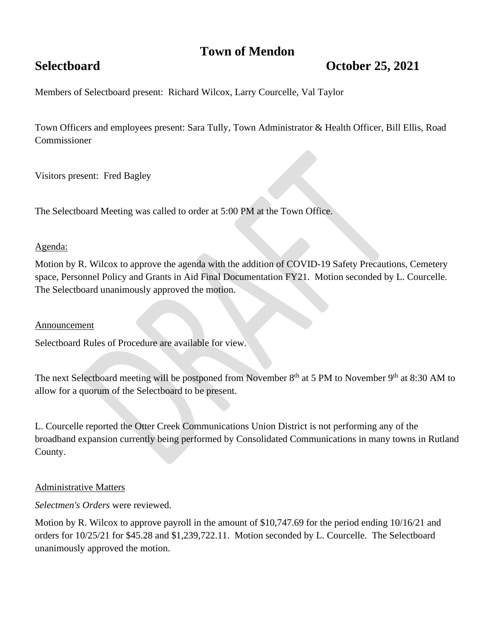## **Town of Mendon**

# **Selectboard October 25, 2021**

Members of Selectboard present: Richard Wilcox, Larry Courcelle, Val Taylor

Town Officers and employees present: Sara Tully, Town Administrator & Health Officer, Bill Ellis, Road Commissioner

Visitors present: Fred Bagley

The Selectboard Meeting was called to order at 5:00 PM at the Town Office.

### Agenda:

Motion by R. Wilcox to approve the agenda with the addition of COVID-19 Safety Precautions, Cemetery space, Personnel Policy and Grants in Aid Final Documentation FY21. Motion seconded by L. Courcelle. The Selectboard unanimously approved the motion.

#### Announcement

Selectboard Rules of Procedure are available for view.

The next Selectboard meeting will be postponed from November  $8<sup>th</sup>$  at 5 PM to November  $9<sup>th</sup>$  at 8:30 AM to allow for a quorum of the Selectboard to be present.

L. Courcelle reported the Otter Creek Communications Union District is not performing any of the broadband expansion currently being performed by Consolidated Communications in many towns in Rutland County.

#### Administrative Matters

*Selectmen's Orders* were reviewed.

Motion by R. Wilcox to approve payroll in the amount of \$10,747.69 for the period ending 10/16/21 and orders for 10/25/21 for \$45.28 and \$1,239,722.11. Motion seconded by L. Courcelle. The Selectboard unanimously approved the motion.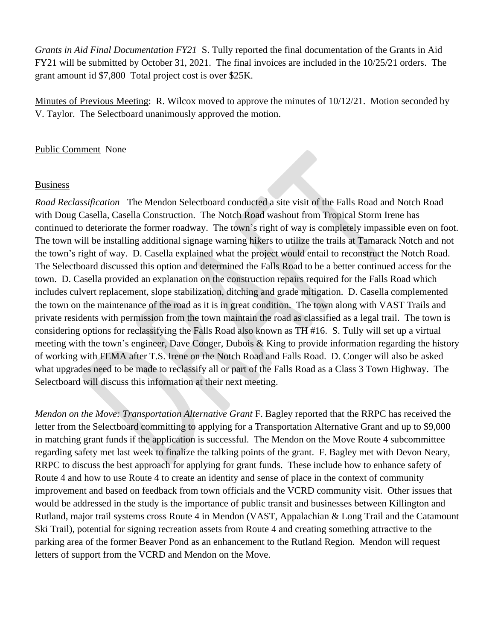*Grants in Aid Final Documentation FY21* S. Tully reported the final documentation of the Grants in Aid FY21 will be submitted by October 31, 2021. The final invoices are included in the 10/25/21 orders. The grant amount id \$7,800 Total project cost is over \$25K.

Minutes of Previous Meeting: R. Wilcox moved to approve the minutes of 10/12/21. Motion seconded by V. Taylor. The Selectboard unanimously approved the motion.

#### Public Comment None

#### Business

*Road Reclassification* The Mendon Selectboard conducted a site visit of the Falls Road and Notch Road with Doug Casella, Casella Construction. The Notch Road washout from Tropical Storm Irene has continued to deteriorate the former roadway. The town's right of way is completely impassible even on foot. The town will be installing additional signage warning hikers to utilize the trails at Tamarack Notch and not the town's right of way. D. Casella explained what the project would entail to reconstruct the Notch Road. The Selectboard discussed this option and determined the Falls Road to be a better continued access for the town. D. Casella provided an explanation on the construction repairs required for the Falls Road which includes culvert replacement, slope stabilization, ditching and grade mitigation. D. Casella complemented the town on the maintenance of the road as it is in great condition. The town along with VAST Trails and private residents with permission from the town maintain the road as classified as a legal trail. The town is considering options for reclassifying the Falls Road also known as TH #16. S. Tully will set up a virtual meeting with the town's engineer, Dave Conger, Dubois & King to provide information regarding the history of working with FEMA after T.S. Irene on the Notch Road and Falls Road. D. Conger will also be asked what upgrades need to be made to reclassify all or part of the Falls Road as a Class 3 Town Highway. The Selectboard will discuss this information at their next meeting.

*Mendon on the Move: Transportation Alternative Grant* F. Bagley reported that the RRPC has received the letter from the Selectboard committing to applying for a Transportation Alternative Grant and up to \$9,000 in matching grant funds if the application is successful. The Mendon on the Move Route 4 subcommittee regarding safety met last week to finalize the talking points of the grant. F. Bagley met with Devon Neary, RRPC to discuss the best approach for applying for grant funds. These include how to enhance safety of Route 4 and how to use Route 4 to create an identity and sense of place in the context of community improvement and based on feedback from town officials and the VCRD community visit. Other issues that would be addressed in the study is the importance of public transit and businesses between Killington and Rutland, major trail systems cross Route 4 in Mendon (VAST, Appalachian & Long Trail and the Catamount Ski Trail), potential for signing recreation assets from Route 4 and creating something attractive to the parking area of the former Beaver Pond as an enhancement to the Rutland Region. Mendon will request letters of support from the VCRD and Mendon on the Move.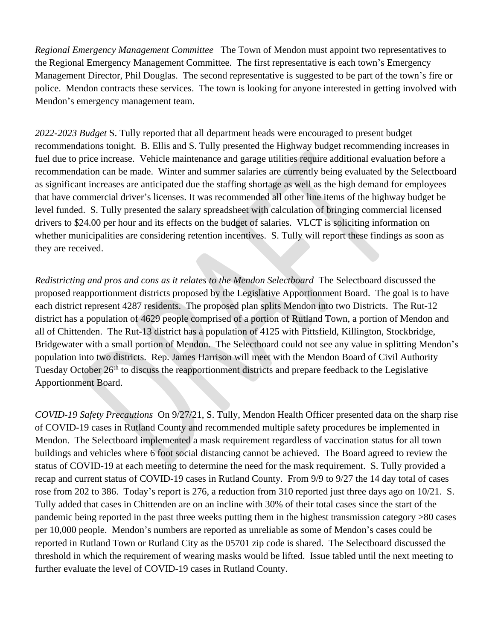*Regional Emergency Management Committee* The Town of Mendon must appoint two representatives to the Regional Emergency Management Committee. The first representative is each town's Emergency Management Director, Phil Douglas. The second representative is suggested to be part of the town's fire or police. Mendon contracts these services. The town is looking for anyone interested in getting involved with Mendon's emergency management team.

*2022-2023 Budget* S. Tully reported that all department heads were encouraged to present budget recommendations tonight. B. Ellis and S. Tully presented the Highway budget recommending increases in fuel due to price increase. Vehicle maintenance and garage utilities require additional evaluation before a recommendation can be made. Winter and summer salaries are currently being evaluated by the Selectboard as significant increases are anticipated due the staffing shortage as well as the high demand for employees that have commercial driver's licenses. It was recommended all other line items of the highway budget be level funded. S. Tully presented the salary spreadsheet with calculation of bringing commercial licensed drivers to \$24.00 per hour and its effects on the budget of salaries. VLCT is soliciting information on whether municipalities are considering retention incentives. S. Tully will report these findings as soon as they are received.

*Redistricting and pros and cons as it relates to the Mendon Selectboard* The Selectboard discussed the proposed reapportionment districts proposed by the Legislative Apportionment Board. The goal is to have each district represent 4287 residents. The proposed plan splits Mendon into two Districts. The Rut-12 district has a population of 4629 people comprised of a portion of Rutland Town, a portion of Mendon and all of Chittenden. The Rut-13 district has a population of 4125 with Pittsfield, Killington, Stockbridge, Bridgewater with a small portion of Mendon. The Selectboard could not see any value in splitting Mendon's population into two districts. Rep. James Harrison will meet with the Mendon Board of Civil Authority Tuesday October  $26<sup>th</sup>$  to discuss the reapportionment districts and prepare feedback to the Legislative Apportionment Board.

*COVID-19 Safety Precautions* On 9/27/21, S. Tully, Mendon Health Officer presented data on the sharp rise of COVID-19 cases in Rutland County and recommended multiple safety procedures be implemented in Mendon. The Selectboard implemented a mask requirement regardless of vaccination status for all town buildings and vehicles where 6 foot social distancing cannot be achieved. The Board agreed to review the status of COVID-19 at each meeting to determine the need for the mask requirement. S. Tully provided a recap and current status of COVID-19 cases in Rutland County. From 9/9 to 9/27 the 14 day total of cases rose from 202 to 386. Today's report is 276, a reduction from 310 reported just three days ago on  $10/21$ . S. Tully added that cases in Chittenden are on an incline with 30% of their total cases since the start of the pandemic being reported in the past three weeks putting them in the highest transmission category >80 cases per 10,000 people. Mendon's numbers are reported as unreliable as some of Mendon's cases could be reported in Rutland Town or Rutland City as the 05701 zip code is shared. The Selectboard discussed the threshold in which the requirement of wearing masks would be lifted. Issue tabled until the next meeting to further evaluate the level of COVID-19 cases in Rutland County.